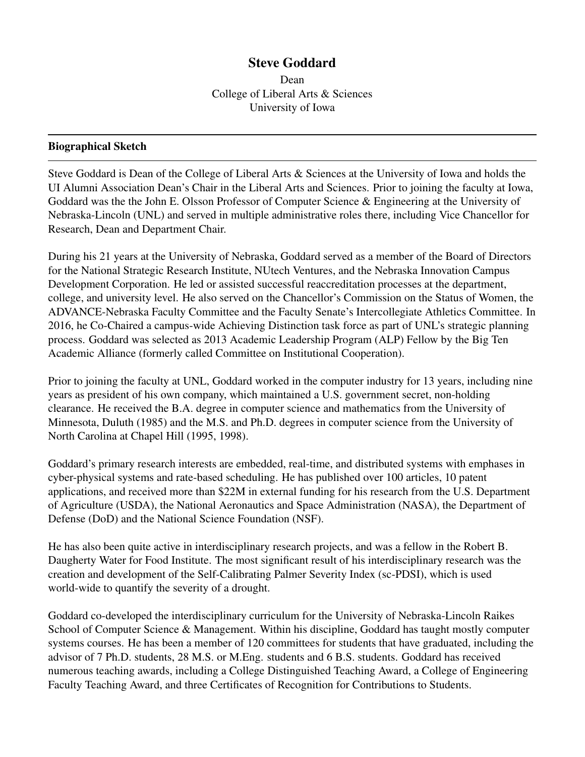# Steve Goddard

Dean College of Liberal Arts & Sciences University of Iowa

# Biographical Sketch

Steve Goddard is Dean of the College of Liberal Arts & Sciences at the University of Iowa and holds the UI Alumni Association Dean's Chair in the Liberal Arts and Sciences. Prior to joining the faculty at Iowa, Goddard was the the John E. Olsson Professor of Computer Science & Engineering at the University of Nebraska-Lincoln (UNL) and served in multiple administrative roles there, including Vice Chancellor for Research, Dean and Department Chair.

During his 21 years at the University of Nebraska, Goddard served as a member of the Board of Directors for the National Strategic Research Institute, NUtech Ventures, and the Nebraska Innovation Campus Development Corporation. He led or assisted successful reaccreditation processes at the department, college, and university level. He also served on the Chancellor's Commission on the Status of Women, the ADVANCE-Nebraska Faculty Committee and the Faculty Senate's Intercollegiate Athletics Committee. In 2016, he Co-Chaired a campus-wide Achieving Distinction task force as part of UNL's strategic planning process. Goddard was selected as 2013 Academic Leadership Program (ALP) Fellow by the Big Ten Academic Alliance (formerly called Committee on Institutional Cooperation).

Prior to joining the faculty at UNL, Goddard worked in the computer industry for 13 years, including nine years as president of his own company, which maintained a U.S. government secret, non-holding clearance. He received the B.A. degree in computer science and mathematics from the University of Minnesota, Duluth (1985) and the M.S. and Ph.D. degrees in computer science from the University of North Carolina at Chapel Hill (1995, 1998).

Goddard's primary research interests are embedded, real-time, and distributed systems with emphases in cyber-physical systems and rate-based scheduling. He has published over 100 articles, 10 patent applications, and received more than \$22M in external funding for his research from the U.S. Department of Agriculture (USDA), the National Aeronautics and Space Administration (NASA), the Department of Defense (DoD) and the National Science Foundation (NSF).

He has also been quite active in interdisciplinary research projects, and was a fellow in the Robert B. Daugherty Water for Food Institute. The most significant result of his interdisciplinary research was the creation and development of the Self-Calibrating Palmer Severity Index (sc-PDSI), which is used world-wide to quantify the severity of a drought.

Goddard co-developed the interdisciplinary curriculum for the University of Nebraska-Lincoln Raikes School of Computer Science & Management. Within his discipline, Goddard has taught mostly computer systems courses. He has been a member of 120 committees for students that have graduated, including the advisor of 7 Ph.D. students, 28 M.S. or M.Eng. students and 6 B.S. students. Goddard has received numerous teaching awards, including a College Distinguished Teaching Award, a College of Engineering Faculty Teaching Award, and three Certificates of Recognition for Contributions to Students.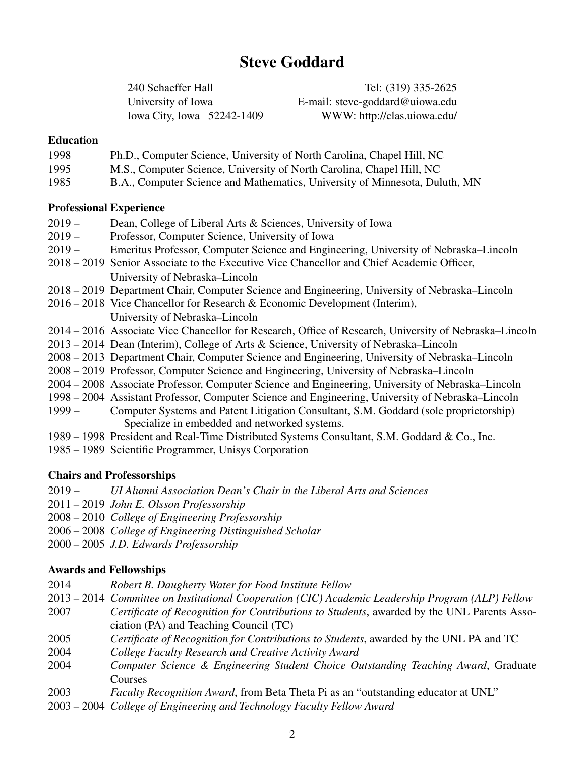# Steve Goddard

240 Schaeffer Hall Tel: (319) 335-2625 University of Iowa E-mail: steve-goddard@uiowa.edu Iowa City, Iowa 52242-1409 WWW: http://clas.uiowa.edu/

#### Education

| 1998 |  |  | Ph.D., Computer Science, University of North Carolina, Chapel Hill, NC |
|------|--|--|------------------------------------------------------------------------|
|------|--|--|------------------------------------------------------------------------|

- 1995 M.S., Computer Science, University of North Carolina, Chapel Hill, NC
- 1985 B.A., Computer Science and Mathematics, University of Minnesota, Duluth, MN

#### Professional Experience

- 2019 Dean, College of Liberal Arts & Sciences, University of Iowa
- 2019 Professor, Computer Science, University of Iowa
- 2019 Emeritus Professor, Computer Science and Engineering, University of Nebraska–Lincoln
- 2018 2019 Senior Associate to the Executive Vice Chancellor and Chief Academic Officer, University of Nebraska–Lincoln
- 2018 2019 Department Chair, Computer Science and Engineering, University of Nebraska–Lincoln
- 2016 2018 Vice Chancellor for Research & Economic Development (Interim), University of Nebraska–Lincoln
- 2014 2016 Associate Vice Chancellor for Research, Office of Research, University of Nebraska–Lincoln
- 2013 2014 Dean (Interim), College of Arts & Science, University of Nebraska–Lincoln
- 2008 2013 Department Chair, Computer Science and Engineering, University of Nebraska–Lincoln
- 2008 2019 Professor, Computer Science and Engineering, University of Nebraska–Lincoln
- 2004 2008 Associate Professor, Computer Science and Engineering, University of Nebraska–Lincoln
- 1998 2004 Assistant Professor, Computer Science and Engineering, University of Nebraska–Lincoln
- 1999 Computer Systems and Patent Litigation Consultant, S.M. Goddard (sole proprietorship) Specialize in embedded and networked systems.
- 1989 1998 President and Real-Time Distributed Systems Consultant, S.M. Goddard & Co., Inc.
- 1985 1989 Scientific Programmer, Unisys Corporation

# Chairs and Professorships

- 2019 *UI Alumni Association Dean's Chair in the Liberal Arts and Sciences*
- 2011 2019 *John E. Olsson Professorship*
- 2008 2010 *College of Engineering Professorship*
- 2006 2008 *College of Engineering Distinguished Scholar*
- 2000 2005 *J.D. Edwards Professorship*

# Awards and Fellowships

- 2014 *Robert B. Daugherty Water for Food Institute Fellow*
- 2013 2014 *Committee on Institutional Cooperation (CIC) Academic Leadership Program (ALP) Fellow*
- 2007 *Certificate of Recognition for Contributions to Students*, awarded by the UNL Parents Association (PA) and Teaching Council (TC)
- 2005 *Certificate of Recognition for Contributions to Students*, awarded by the UNL PA and TC
- 2004 *College Faculty Research and Creative Activity Award*
- 2004 *Computer Science & Engineering Student Choice Outstanding Teaching Award*, Graduate Courses
- 2003 *Faculty Recognition Award*, from Beta Theta Pi as an "outstanding educator at UNL"
- 2003 2004 *College of Engineering and Technology Faculty Fellow Award*